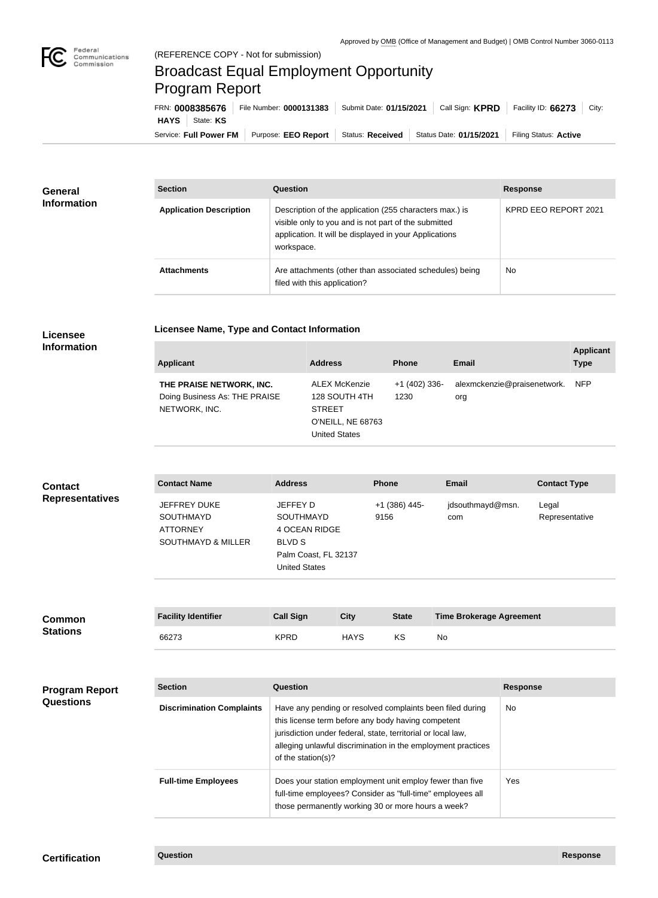

## Broadcast Equal Employment Opportunity Program Report

| FRN: 0008385676 |                        |                                        | File Number: 0000131383 Submit Date: 01/15/2021 Call Sign: KPRD Facility ID: 66273 City: |                         |                       |  |
|-----------------|------------------------|----------------------------------------|------------------------------------------------------------------------------------------|-------------------------|-----------------------|--|
|                 | HAYS   State: KS       |                                        |                                                                                          |                         |                       |  |
|                 | Service: Full Power FM | Purpose: EEO Report   Status: Received |                                                                                          | Status Date: 01/15/2021 | Filing Status: Active |  |

| <b>General</b><br><b>Information</b> | <b>Section</b>                 | Question                                                                                                                                                                                | <b>Response</b>      |
|--------------------------------------|--------------------------------|-----------------------------------------------------------------------------------------------------------------------------------------------------------------------------------------|----------------------|
|                                      | <b>Application Description</b> | Description of the application (255 characters max.) is<br>visible only to you and is not part of the submitted<br>application. It will be displayed in your Applications<br>workspace. | KPRD EEO REPORT 2021 |
|                                      | <b>Attachments</b>             | Are attachments (other than associated schedules) being<br>filed with this application?                                                                                                 | <b>No</b>            |

# **Licensee**

| Licensee Name, Type and Contact Information |  |
|---------------------------------------------|--|
|                                             |  |

### **Information**

| <b>Applicant</b>                                                           | <b>Address</b>                                                                               | <b>Phone</b>          | Email                              | <b>Applicant</b><br><b>Type</b> |
|----------------------------------------------------------------------------|----------------------------------------------------------------------------------------------|-----------------------|------------------------------------|---------------------------------|
| THE PRAISE NETWORK, INC.<br>Doing Business As: THE PRAISE<br>NETWORK, INC. | ALEX McKenzie<br>128 SOUTH 4TH<br><b>STREET</b><br>O'NEILL, NE 68763<br><b>United States</b> | $+1(402)336-$<br>1230 | alexmckenzie@praisenetwork.<br>org | <b>NFP</b>                      |

| <b>Contact</b>         | <b>Contact Name</b>                                                                         | <b>Address</b>                                                                                                 | <b>Phone</b>          | <b>Email</b>            | <b>Contact Type</b>     |
|------------------------|---------------------------------------------------------------------------------------------|----------------------------------------------------------------------------------------------------------------|-----------------------|-------------------------|-------------------------|
| <b>Representatives</b> | <b>JEFFREY DUKE</b><br><b>SOUTHMAYD</b><br><b>ATTORNEY</b><br><b>SOUTHMAYD &amp; MILLER</b> | JEFFEY D<br><b>SOUTHMAYD</b><br>4 OCEAN RIDGE<br><b>BLVD S</b><br>Palm Coast, FL 32137<br><b>United States</b> | +1 (386) 445-<br>9156 | jdsouthmayd@msn.<br>com | Legal<br>Representative |

| <b>Common</b>   | <b>Facility Identifier</b> | <b>Call Sign</b> | City | <b>State</b> | <b>Time Brokerage Agreement</b> |
|-----------------|----------------------------|------------------|------|--------------|---------------------------------|
| <b>Stations</b> | 66273                      | <b>KPRD</b>      | HAYS | KS           | No                              |

### **Program Report Questions**

| <b>Section</b>                   | Question                                                                                                                                                                                                                                                              | <b>Response</b> |
|----------------------------------|-----------------------------------------------------------------------------------------------------------------------------------------------------------------------------------------------------------------------------------------------------------------------|-----------------|
| <b>Discrimination Complaints</b> | Have any pending or resolved complaints been filed during<br>this license term before any body having competent<br>jurisdiction under federal, state, territorial or local law,<br>alleging unlawful discrimination in the employment practices<br>of the station(s)? | No.             |
| <b>Full-time Employees</b>       | Does your station employment unit employ fewer than five<br>full-time employees? Consider as "full-time" employees all<br>those permanently working 30 or more hours a week?                                                                                          | Yes             |